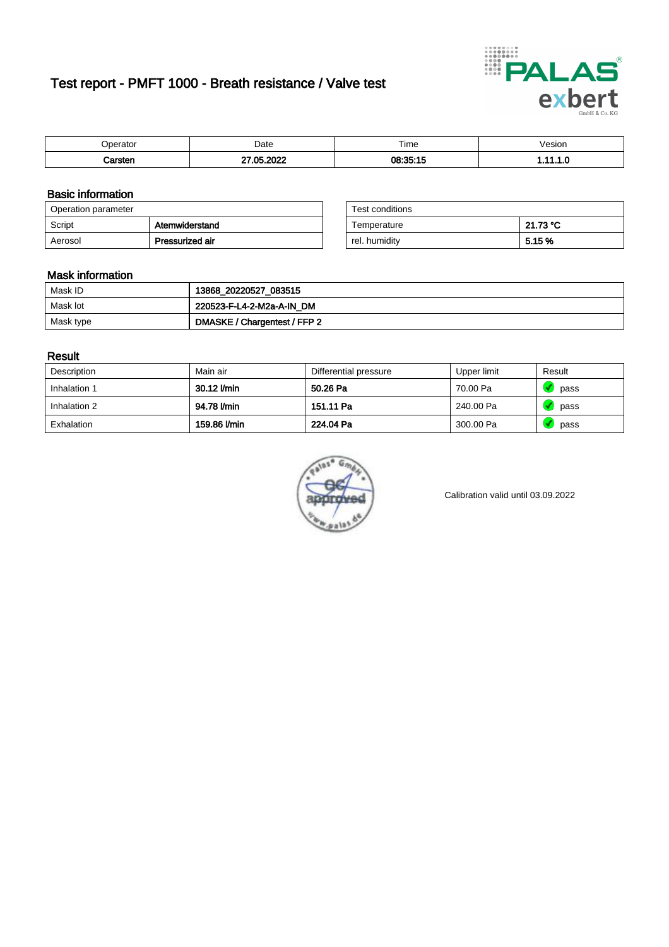# Test report - PMFT 1000 - Breath resistance / Valve test



| maxmax<br>rator | Date      | $- \cdot$<br>Time | /esion |
|-----------------|-----------|-------------------|--------|
|                 | റററ<br>ΛE | 08.35.15          | .      |

### Basic information

| Operation parameter |                 | Test conditions |          |
|---------------------|-----------------|-----------------|----------|
| Script              | Atemwiderstand  | Temperature     | 21.73 °C |
| Aerosol             | Pressurized air | rel. humidity   | 5.15 %   |

| Test conditions |          |
|-----------------|----------|
| Temperature     | 21.73 °C |
| rel. humidity   | 5.15 %   |

#### Mask information

| Mask ID   | 13868_20220527_083515        |
|-----------|------------------------------|
| Mask lot  | 220523-F-L4-2-M2a-A-IN_DM    |
| Mask type | DMASKE / Chargentest / FFP 2 |

### Result

| Description  | Main air     | Differential pressure | Upper limit | Result |
|--------------|--------------|-----------------------|-------------|--------|
| Inhalation 1 | 30.12 l/min  | 50.26 Pa              | 70.00 Pa    | pass   |
| Inhalation 2 | 94.78 l/min  | 151.11 Pa             | 240.00 Pa   | pass   |
| Exhalation   | 159.86 l/min | 224.04 Pa             | 300.00 Pa   | pass   |



Calibration valid until 03.09.2022